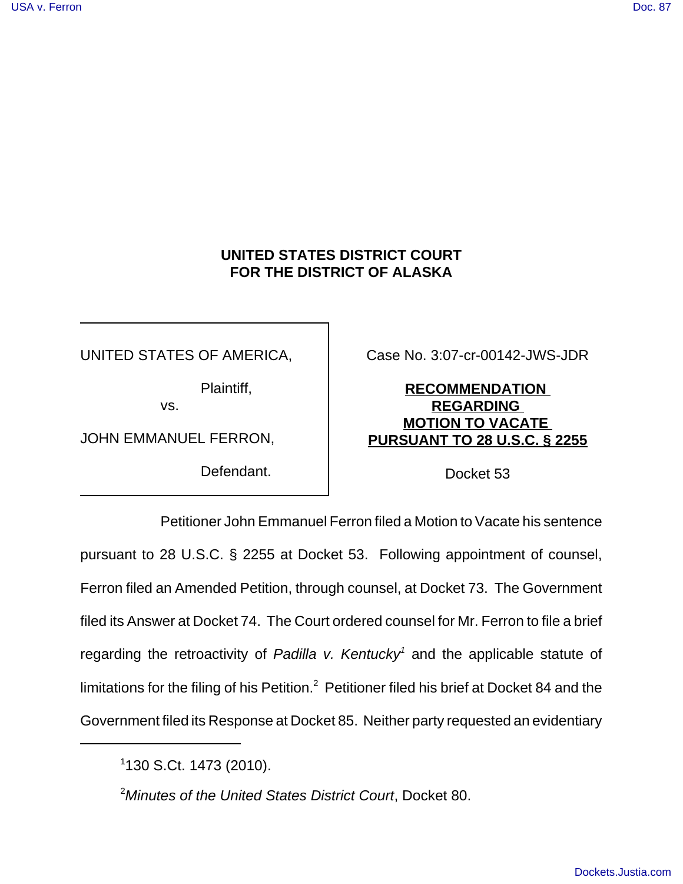# **UNITED STATES DISTRICT COURT FOR THE DISTRICT OF ALASKA**

UNITED STATES OF AMERICA,

Plaintiff,

vs.

JOHN EMMANUEL FERRON,

Defendant.

Case No. 3:07-cr-00142-JWS-JDR

# **RECOMMENDATION REGARDING MOTION TO VACATE PURSUANT TO 28 U.S.C. § 2255**

Docket 53

Petitioner John Emmanuel Ferron filed a Motion to Vacate his sentence pursuant to 28 U.S.C. § 2255 at Docket 53. Following appointment of counsel, Ferron filed an Amended Petition, through counsel, at Docket 73. The Government filed its Answer at Docket 74. The Court ordered counsel for Mr. Ferron to file a brief regarding the retroactivity of Padilla v. Kentucky<sup>1</sup> and the applicable statute of limitations for the filing of his Petition.<sup>2</sup> Petitioner filed his brief at Docket 84 and the Government filed its Response at Docket 85. Neither party requested an evidentiary

<sup>2</sup>Minutes of the United States District Court, Docket 80.

<sup>1</sup> 130 S.Ct. 1473 (2010).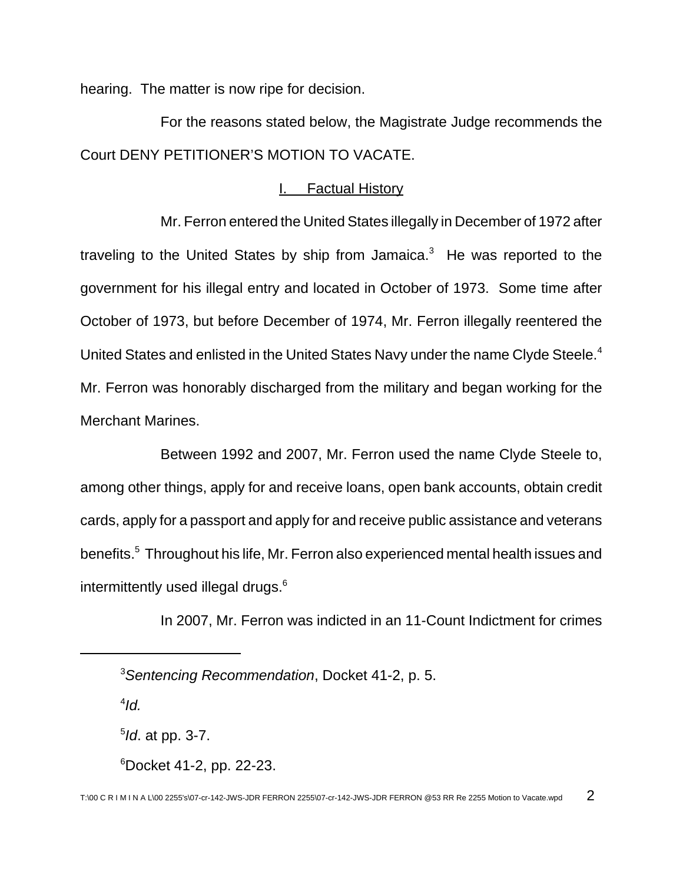hearing. The matter is now ripe for decision.

For the reasons stated below, the Magistrate Judge recommends the Court DENY PETITIONER'S MOTION TO VACATE.

#### I. Factual History

Mr. Ferron entered the United States illegally in December of 1972 after traveling to the United States by ship from Jamaica.<sup>3</sup> He was reported to the government for his illegal entry and located in October of 1973. Some time after October of 1973, but before December of 1974, Mr. Ferron illegally reentered the United States and enlisted in the United States Navy under the name Clyde Steele.<sup>4</sup> Mr. Ferron was honorably discharged from the military and began working for the Merchant Marines.

Between 1992 and 2007, Mr. Ferron used the name Clyde Steele to, among other things, apply for and receive loans, open bank accounts, obtain credit cards, apply for a passport and apply for and receive public assistance and veterans benefits.<sup>5</sup> Throughout his life, Mr. Ferron also experienced mental health issues and intermittently used illegal drugs.<sup>6</sup>

In 2007, Mr. Ferron was indicted in an 11-Count Indictment for crimes

<sup>3</sup>Sentencing Recommendation, Docket 41-2, p. 5.

 $^{4}$ Id.

<sup>&</sup>lt;sup>5</sup>ld. at pp. 3-7.

 $6$ Docket 41-2, pp. 22-23.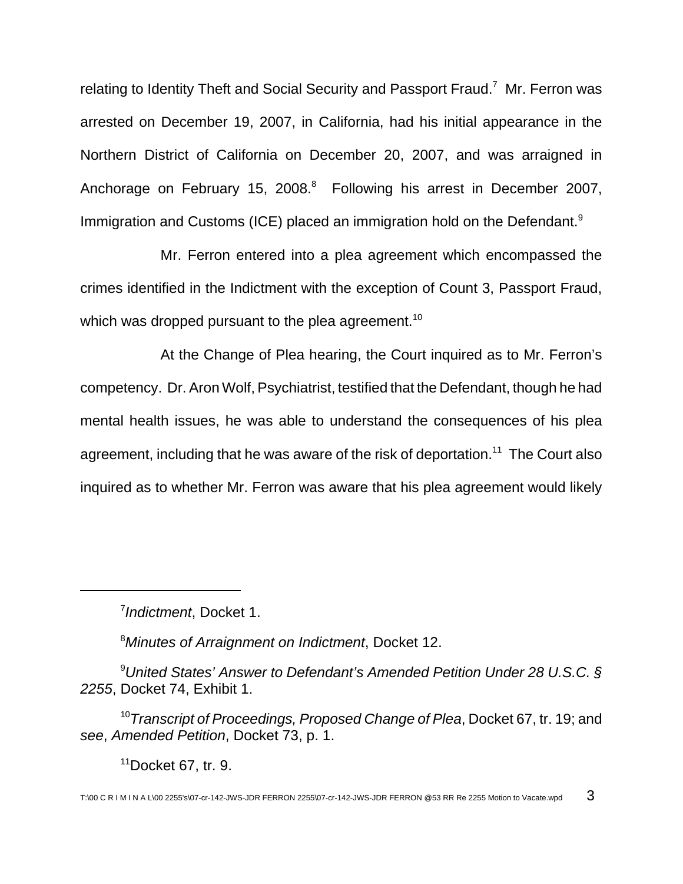relating to Identity Theft and Social Security and Passport Fraud.<sup>7</sup> Mr. Ferron was arrested on December 19, 2007, in California, had his initial appearance in the Northern District of California on December 20, 2007, and was arraigned in Anchorage on February 15, 2008.<sup>8</sup> Following his arrest in December 2007, Immigration and Customs (ICE) placed an immigration hold on the Defendant.<sup>9</sup>

Mr. Ferron entered into a plea agreement which encompassed the crimes identified in the Indictment with the exception of Count 3, Passport Fraud, which was dropped pursuant to the plea agreement.<sup>10</sup>

At the Change of Plea hearing, the Court inquired as to Mr. Ferron's competency. Dr. Aron Wolf, Psychiatrist, testified that the Defendant, though he had mental health issues, he was able to understand the consequences of his plea agreement, including that he was aware of the risk of deportation.<sup>11</sup> The Court also inquired as to whether Mr. Ferron was aware that his plea agreement would likely

<sup>7</sup> Indictment, Docket 1.

<sup>8</sup>Minutes of Arraignment on Indictment, Docket 12.

 $9$ United States' Answer to Defendant's Amended Petition Under 28 U.S.C. § 2255, Docket 74, Exhibit 1.

<sup>10</sup> Transcript of Proceedings, Proposed Change of Plea, Docket 67, tr. 19; and see, Amended Petition, Docket 73, p. 1.

 $11$ Docket 67, tr. 9.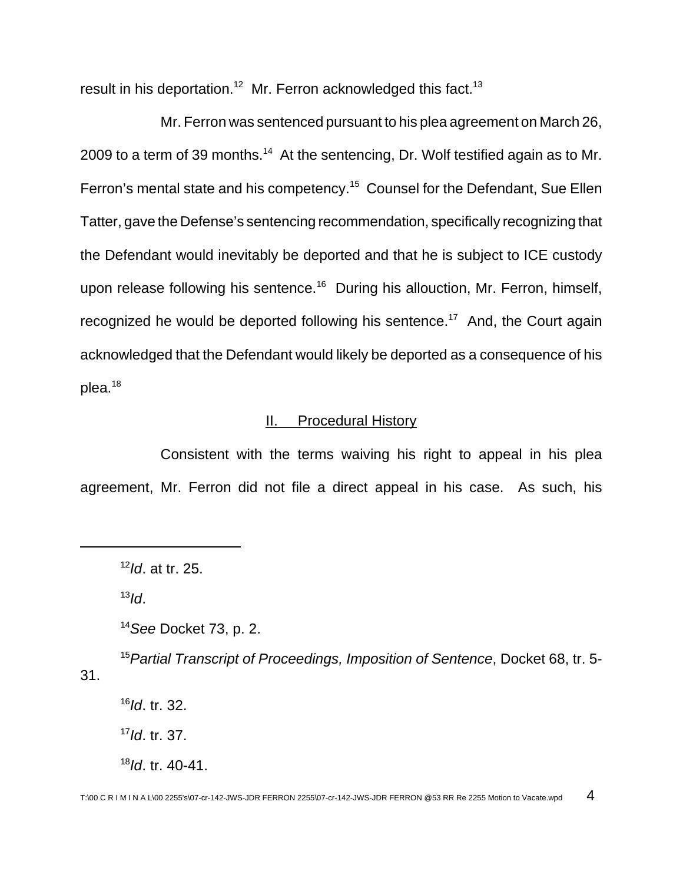result in his deportation.<sup>12</sup> Mr. Ferron acknowledged this fact.<sup>13</sup>

Mr. Ferron was sentenced pursuant to his plea agreement on March 26, 2009 to a term of 39 months.<sup>14</sup> At the sentencing, Dr. Wolf testified again as to Mr. Ferron's mental state and his competency.<sup>15</sup> Counsel for the Defendant, Sue Ellen Tatter, gave the Defense's sentencing recommendation, specifically recognizing that the Defendant would inevitably be deported and that he is subject to ICE custody upon release following his sentence.<sup>16</sup> During his allouction, Mr. Ferron, himself, recognized he would be deported following his sentence.<sup>17</sup> And, the Court again acknowledged that the Defendant would likely be deported as a consequence of his plea.<sup>18</sup>

## **II.** Procedural History

Consistent with the terms waiving his right to appeal in his plea agreement, Mr. Ferron did not file a direct appeal in his case. As such, his

 $13$ Id.

 $14$ See Docket 73, p. 2.

<sup>15</sup> Partial Transcript of Proceedings, Imposition of Sentence, Docket 68, tr. 5-31.

 $16$ Id. tr. 32.

 $17$ *Id.* tr. 37.

 $18$ Id. tr. 40-41.

 $12$ *Id.* at tr. 25.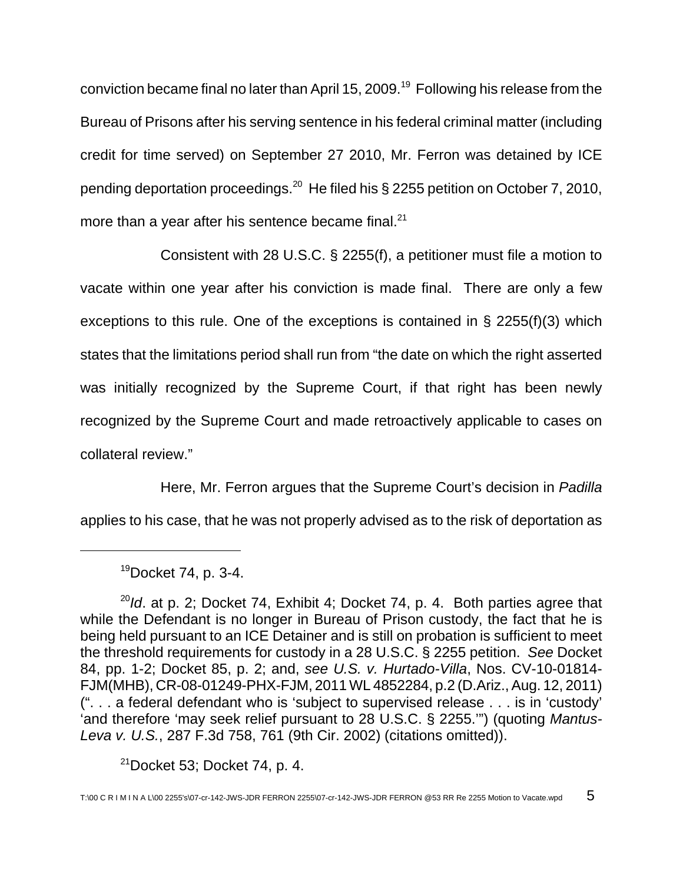conviction became final no later than April 15, 2009.<sup>19</sup> Following his release from the Bureau of Prisons after his serving sentence in his federal criminal matter (including credit for time served) on September 27 2010, Mr. Ferron was detained by ICE pending deportation proceedings.<sup>20</sup> He filed his § 2255 petition on October 7, 2010, more than a year after his sentence became final.<sup>21</sup>

Consistent with 28 U.S.C. § 2255(f), a petitioner must file a motion to vacate within one year after his conviction is made final. There are only a few exceptions to this rule. One of the exceptions is contained in § 2255(f)(3) which states that the limitations period shall run from "the date on which the right asserted was initially recognized by the Supreme Court, if that right has been newly recognized by the Supreme Court and made retroactively applicable to cases on collateral review."

Here, Mr. Ferron argues that the Supreme Court's decision in Padilla applies to his case, that he was not properly advised as to the risk of deportation as

 $21$ Docket 53; Docket 74, p. 4.

 $19Docket$  74, p. 3-4.

 $^{20}$ Id. at p. 2; Docket 74, Exhibit 4; Docket 74, p. 4. Both parties agree that while the Defendant is no longer in Bureau of Prison custody, the fact that he is being held pursuant to an ICE Detainer and is still on probation is sufficient to meet the threshold requirements for custody in a 28 U.S.C. § 2255 petition. See Docket 84, pp. 1-2; Docket 85, p. 2; and, see U.S. v. Hurtado-Villa, Nos. CV-10-01814- FJM(MHB), CR-08-01249-PHX-FJM, 2011 WL 4852284, p.2 (D.Ariz., Aug. 12, 2011) (". . . a federal defendant who is 'subject to supervised release . . . is in 'custody' 'and therefore 'may seek relief pursuant to 28 U.S.C. § 2255.'") (quoting Mantus-Leva v. U.S., 287 F.3d 758, 761 (9th Cir. 2002) (citations omitted)).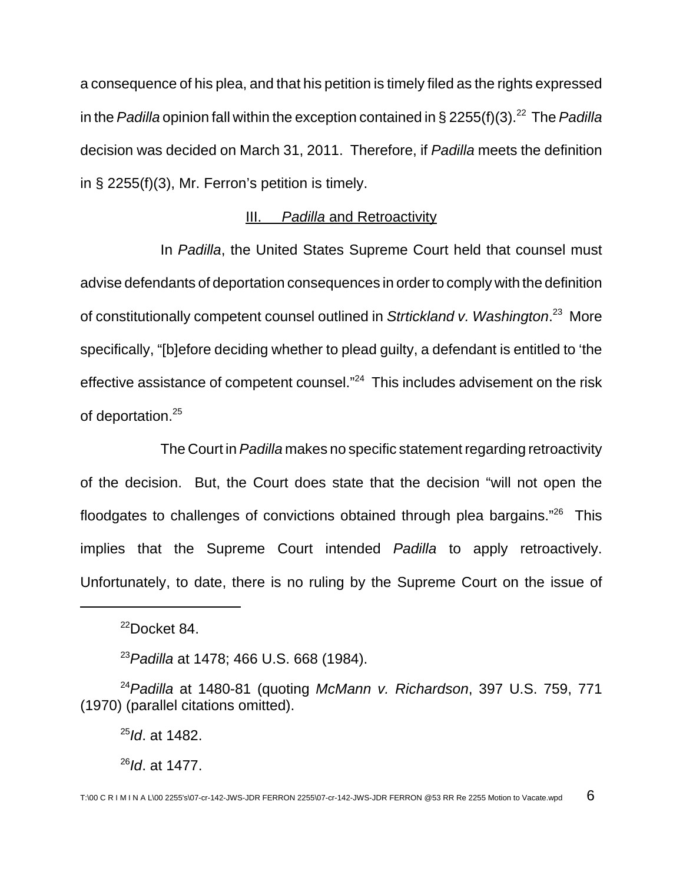a consequence of his plea, and that his petition is timely filed as the rights expressed in the Padilla opinion fall within the exception contained in § 2255(f)(3).<sup>22</sup> The Padilla decision was decided on March 31, 2011. Therefore, if Padilla meets the definition in § 2255(f)(3), Mr. Ferron's petition is timely.

#### III. Padilla and Retroactivity

In Padilla, the United States Supreme Court held that counsel must advise defendants of deportation consequences in order to comply with the definition of constitutionally competent counsel outlined in Strtickland v. Washington.<sup>23</sup> More specifically, "[b]efore deciding whether to plead guilty, a defendant is entitled to 'the effective assistance of competent counsel."<sup>24</sup> This includes advisement on the risk of deportation.<sup>25</sup>

The Court in Padilla makes no specific statement regarding retroactivity of the decision. But, the Court does state that the decision "will not open the floodgates to challenges of convictions obtained through plea bargains."<sup>26</sup> This implies that the Supreme Court intended Padilla to apply retroactively. Unfortunately, to date, there is no ruling by the Supreme Court on the issue of

 $25$ *Id.* at 1482.

 $^{26}$ Id. at 1477.

 $22$ Docket 84.

<sup>&</sup>lt;sup>23</sup> Padilla at 1478; 466 U.S. 668 (1984).

 $24$ Padilla at 1480-81 (quoting McMann v. Richardson, 397 U.S. 759, 771 (1970) (parallel citations omitted).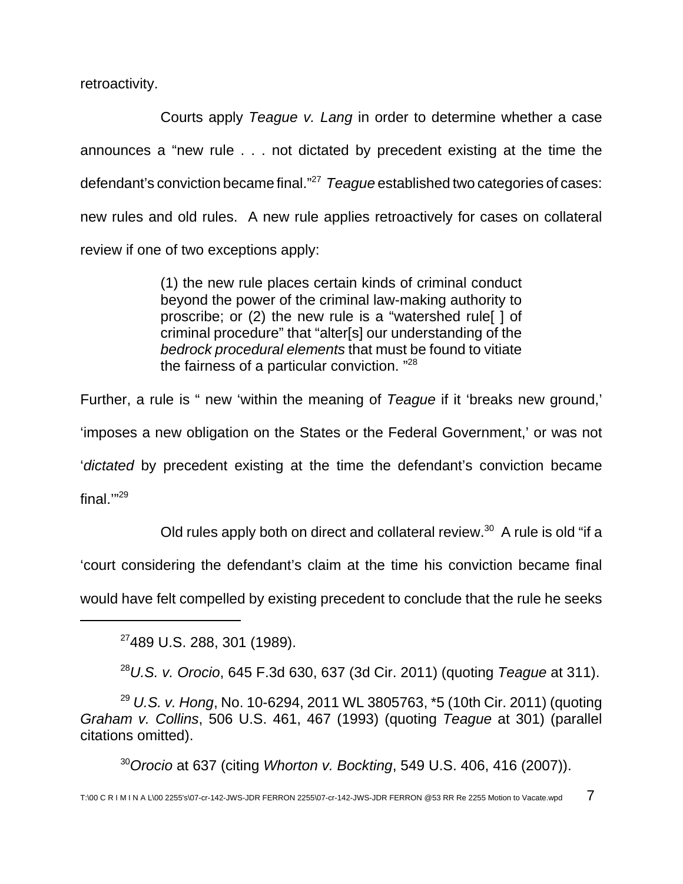retroactivity.

Courts apply Teague v. Lang in order to determine whether a case announces a "new rule . . . not dictated by precedent existing at the time the defendant's conviction became final."<sup>27</sup> Teague established two categories of cases: new rules and old rules. A new rule applies retroactively for cases on collateral review if one of two exceptions apply:

> (1) the new rule places certain kinds of criminal conduct beyond the power of the criminal law-making authority to proscribe; or (2) the new rule is a "watershed rule[ ] of criminal procedure" that "alter[s] our understanding of the bedrock procedural elements that must be found to vitiate the fairness of a particular conviction. "<sup>28</sup>

Further, a rule is " new 'within the meaning of Teague if it 'breaks new ground,' 'imposes a new obligation on the States or the Federal Government,' or was not 'dictated by precedent existing at the time the defendant's conviction became final.'"<sup>29</sup>

Old rules apply both on direct and collateral review.<sup>30</sup> A rule is old "if a

'court considering the defendant's claim at the time his conviction became final

would have felt compelled by existing precedent to conclude that the rule he seeks

<sup>27</sup>489 U.S. 288, 301 (1989).

 $28$  U.S. v. Orocio, 645 F.3d 630, 637 (3d Cir. 2011) (quoting Teague at 311).

<sup>29</sup> U.S. v. Hong, No. 10-6294, 2011 WL 3805763,  $*5$  (10th Cir. 2011) (quoting Graham v. Collins, 506 U.S. 461, 467 (1993) (quoting Teague at 301) (parallel citations omitted).

 $30$ Orocio at 637 (citing Whorton v. Bockting, 549 U.S. 406, 416 (2007)).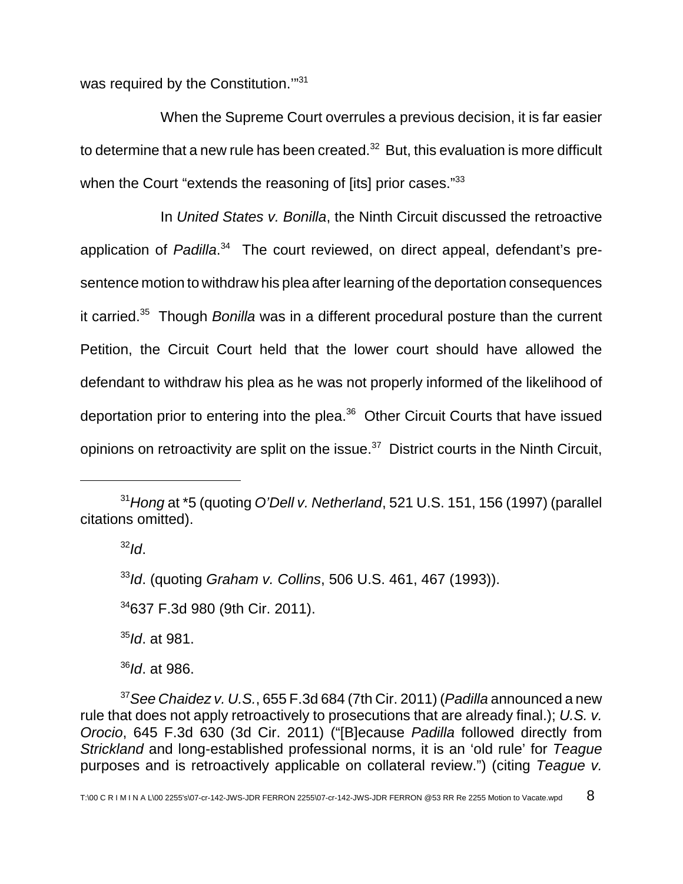was required by the Constitution."31

When the Supreme Court overrules a previous decision, it is far easier to determine that a new rule has been created. $32$  But, this evaluation is more difficult when the Court "extends the reasoning of [its] prior cases."33

In United States v. Bonilla, the Ninth Circuit discussed the retroactive application of Padilla.<sup>34</sup> The court reviewed, on direct appeal, defendant's presentence motion to withdraw his plea after learning of the deportation consequences it carried. $35$  Though Bonilla was in a different procedural posture than the current Petition, the Circuit Court held that the lower court should have allowed the defendant to withdraw his plea as he was not properly informed of the likelihood of deportation prior to entering into the plea.<sup>36</sup> Other Circuit Courts that have issued opinions on retroactivity are split on the issue. $37$  District courts in the Ninth Circuit,

 $32$ Id.

33Id. (quoting Graham v. Collins, 506 U.S. 461, 467 (1993)).

<sup>34</sup>637 F.3d 980 (9th Cir. 2011).

 $35$ Id. at 981.

 $36$ Id. at 986.

 $37$  See Chaidez v. U.S., 655 F.3d 684 (7th Cir. 2011) (Padilla announced a new rule that does not apply retroactively to prosecutions that are already final.); U.S. v. Orocio, 645 F.3d 630 (3d Cir. 2011) ("[B]ecause Padilla followed directly from Strickland and long-established professional norms, it is an 'old rule' for Teague purposes and is retroactively applicable on collateral review.") (citing Teague v.

 $31$  Hong at  $*5$  (quoting O'Dell v. Netherland, 521 U.S. 151, 156 (1997) (parallel citations omitted).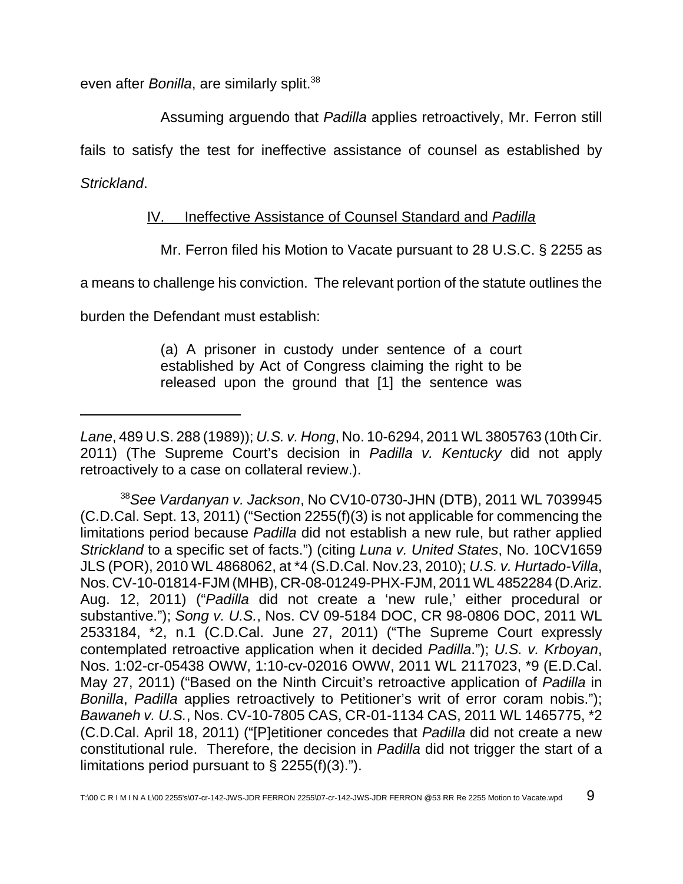even after Bonilla, are similarly split.<sup>38</sup>

Assuming arguendo that Padilla applies retroactively, Mr. Ferron still

fails to satisfy the test for ineffective assistance of counsel as established by

Strickland.

# IV. Ineffective Assistance of Counsel Standard and Padilla

Mr. Ferron filed his Motion to Vacate pursuant to 28 U.S.C. § 2255 as

a means to challenge his conviction. The relevant portion of the statute outlines the

burden the Defendant must establish:

(a) A prisoner in custody under sentence of a court established by Act of Congress claiming the right to be released upon the ground that [1] the sentence was

 $38$ See Vardanyan v. Jackson, No CV10-0730-JHN (DTB), 2011 WL 7039945 (C.D.Cal. Sept. 13, 2011) ("Section 2255(f)(3) is not applicable for commencing the limitations period because Padilla did not establish a new rule, but rather applied Strickland to a specific set of facts.") (citing Luna v. United States, No. 10CV1659 JLS (POR), 2010 WL 4868062, at \*4 (S.D.Cal. Nov.23, 2010); U.S. v. Hurtado-Villa, Nos. CV-10-01814-FJM (MHB), CR-08-01249-PHX-FJM, 2011 WL 4852284 (D.Ariz. Aug. 12, 2011) ("Padilla did not create a 'new rule,' either procedural or substantive."); Song v. U.S., Nos. CV 09-5184 DOC, CR 98-0806 DOC, 2011 WL 2533184, \*2, n.1 (C.D.Cal. June 27, 2011) ("The Supreme Court expressly contemplated retroactive application when it decided Padilla."); U.S. v. Krboyan, Nos. 1:02-cr-05438 OWW, 1:10-cv-02016 OWW, 2011 WL 2117023, \*9 (E.D.Cal. May 27, 2011) ("Based on the Ninth Circuit's retroactive application of Padilla in Bonilla, Padilla applies retroactively to Petitioner's writ of error coram nobis."); Bawaneh v. U.S., Nos. CV-10-7805 CAS, CR-01-1134 CAS, 2011 WL 1465775, \*2 (C.D.Cal. April 18, 2011) ("[P]etitioner concedes that Padilla did not create a new constitutional rule. Therefore, the decision in Padilla did not trigger the start of a limitations period pursuant to  $\S$  2255(f)(3).").

Lane, 489 U.S. 288 (1989)); U.S. v. Hong, No. 10-6294, 2011 WL 3805763 (10th Cir. 2011) (The Supreme Court's decision in Padilla v. Kentucky did not apply retroactively to a case on collateral review.).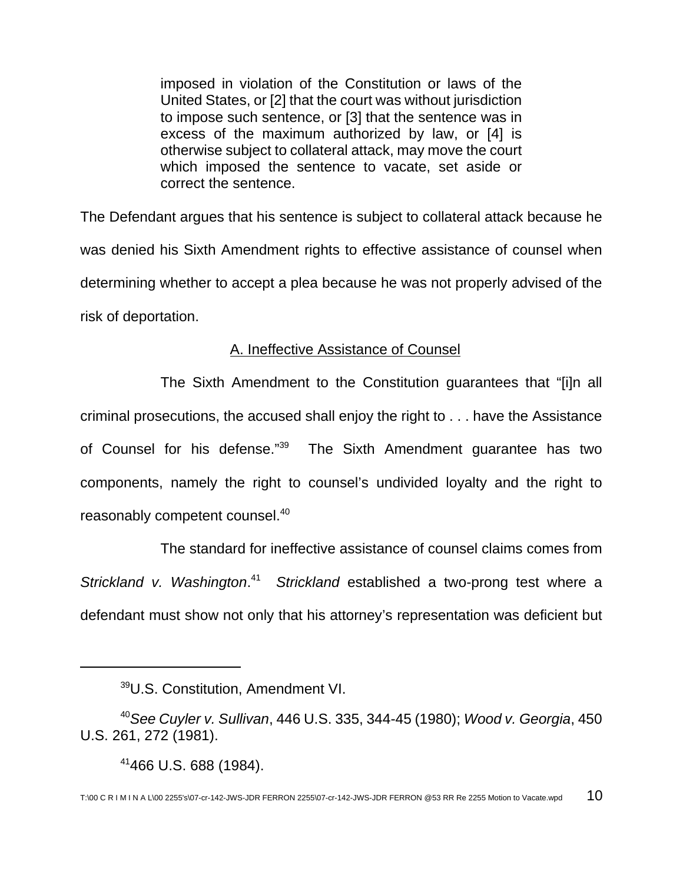imposed in violation of the Constitution or laws of the United States, or [2] that the court was without jurisdiction to impose such sentence, or [3] that the sentence was in excess of the maximum authorized by law, or [4] is otherwise subject to collateral attack, may move the court which imposed the sentence to vacate, set aside or correct the sentence.

The Defendant argues that his sentence is subject to collateral attack because he was denied his Sixth Amendment rights to effective assistance of counsel when determining whether to accept a plea because he was not properly advised of the risk of deportation.

## A. Ineffective Assistance of Counsel

The Sixth Amendment to the Constitution guarantees that "[i]n all criminal prosecutions, the accused shall enjoy the right to . . . have the Assistance of Counsel for his defense."<sup>39</sup> The Sixth Amendment guarantee has two components, namely the right to counsel's undivided loyalty and the right to reasonably competent counsel.<sup>40</sup>

The standard for ineffective assistance of counsel claims comes from Strickland v. Washington.<sup>41</sup> Strickland established a two-prong test where a defendant must show not only that his attorney's representation was deficient but

<sup>39</sup>U.S. Constitution, Amendment VI.

 $40$ See Cuyler v. Sullivan, 446 U.S. 335, 344-45 (1980); Wood v. Georgia, 450 U.S. 261, 272 (1981).

 $41466$  U.S. 688 (1984).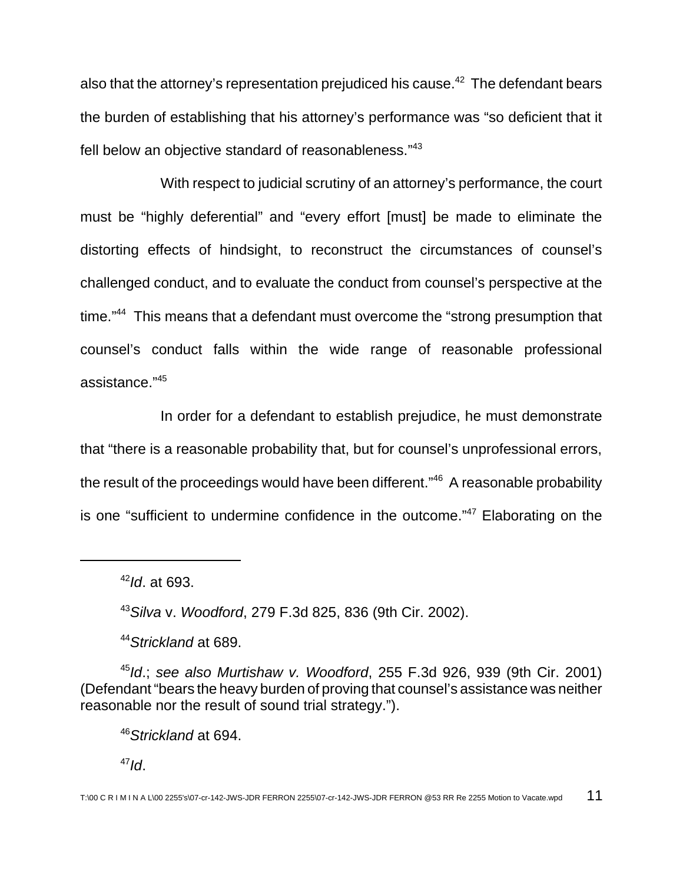also that the attorney's representation prejudiced his cause. $42$  The defendant bears the burden of establishing that his attorney's performance was "so deficient that it fell below an objective standard of reasonableness."<sup>43</sup>

With respect to judicial scrutiny of an attorney's performance, the court must be "highly deferential" and "every effort [must] be made to eliminate the distorting effects of hindsight, to reconstruct the circumstances of counsel's challenged conduct, and to evaluate the conduct from counsel's perspective at the time."<sup>44</sup> This means that a defendant must overcome the "strong presumption that counsel's conduct falls within the wide range of reasonable professional assistance."<sup>45</sup>

In order for a defendant to establish prejudice, he must demonstrate that "there is a reasonable probability that, but for counsel's unprofessional errors, the result of the proceedings would have been different."<sup>46</sup> A reasonable probability is one "sufficient to undermine confidence in the outcome."<sup>47</sup> Elaborating on the

 $42$ Id. at 693.

<sup>43</sup>Silva v. Woodford, 279 F.3d 825, 836 (9th Cir. 2002).

44 Strickland at 689.

 $45$ Id.; see also Murtishaw v. Woodford, 255 F.3d 926, 939 (9th Cir. 2001) (Defendant "bears the heavy burden of proving that counsel's assistance was neither reasonable nor the result of sound trial strategy.").

<sup>46</sup>Strickland at 694.

 $47$ Id.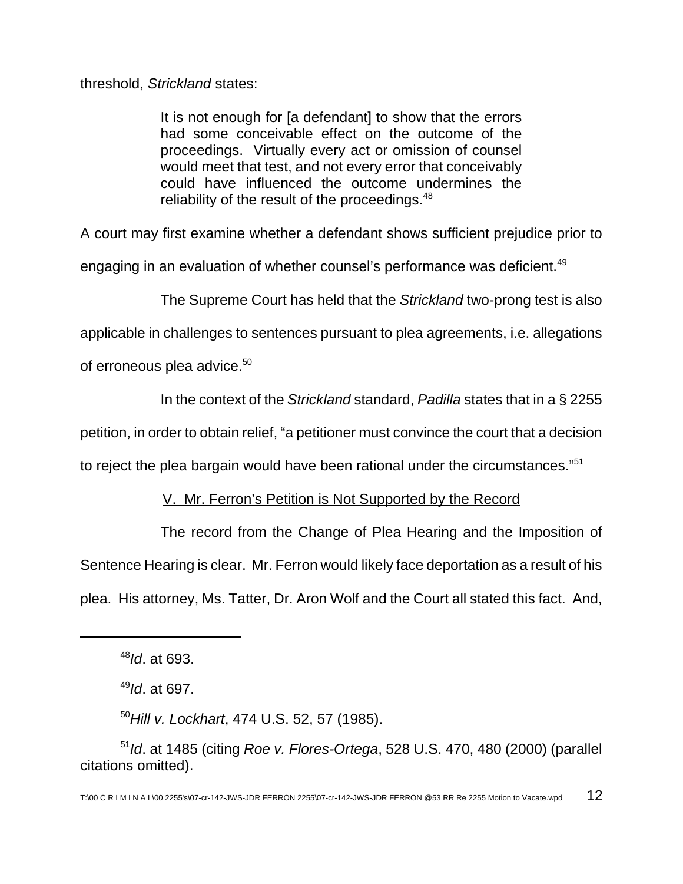threshold, Strickland states:

It is not enough for [a defendant] to show that the errors had some conceivable effect on the outcome of the proceedings. Virtually every act or omission of counsel would meet that test, and not every error that conceivably could have influenced the outcome undermines the reliability of the result of the proceedings. $48$ 

A court may first examine whether a defendant shows sufficient prejudice prior to

engaging in an evaluation of whether counsel's performance was deficient.<sup>49</sup>

The Supreme Court has held that the Strickland two-prong test is also

applicable in challenges to sentences pursuant to plea agreements, i.e. allegations

of erroneous plea advice.<sup>50</sup>

In the context of the Strickland standard, Padilla states that in a § 2255

petition, in order to obtain relief, "a petitioner must convince the court that a decision

to reject the plea bargain would have been rational under the circumstances." $51$ 

# V. Mr. Ferron's Petition is Not Supported by the Record

The record from the Change of Plea Hearing and the Imposition of Sentence Hearing is clear. Mr. Ferron would likely face deportation as a result of his plea. His attorney, Ms. Tatter, Dr. Aron Wolf and the Court all stated this fact. And,

 $50$ Hill v. Lockhart, 474 U.S. 52, 57 (1985).

 $48$ Id. at 693.

 $49$ Id. at 697.

 $51$ Id. at 1485 (citing Roe v. Flores-Ortega, 528 U.S. 470, 480 (2000) (parallel citations omitted).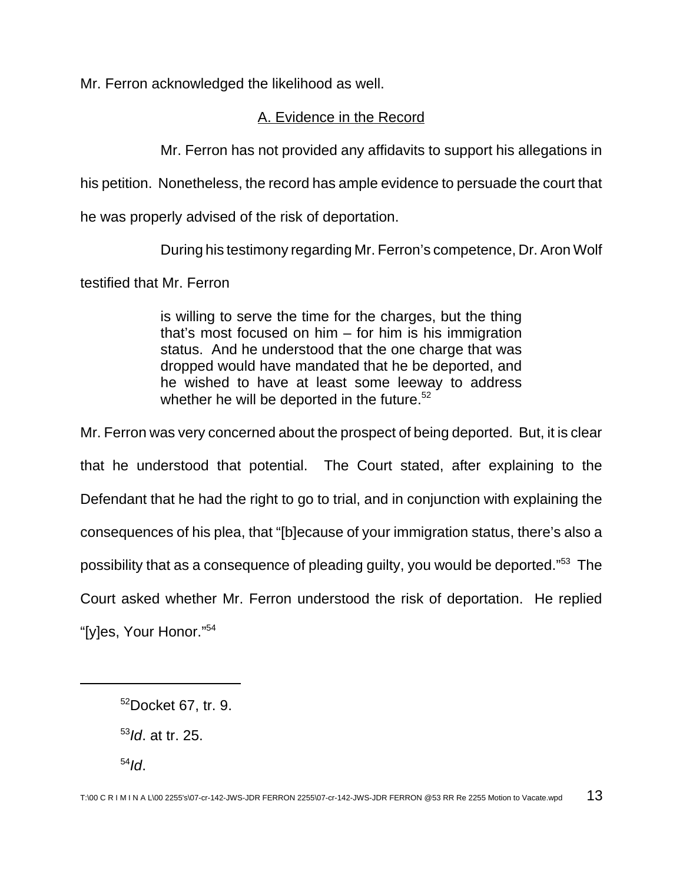Mr. Ferron acknowledged the likelihood as well.

# A. Evidence in the Record

Mr. Ferron has not provided any affidavits to support his allegations in

his petition. Nonetheless, the record has ample evidence to persuade the court that

he was properly advised of the risk of deportation.

During his testimony regarding Mr. Ferron's competence, Dr. Aron Wolf

testified that Mr. Ferron

is willing to serve the time for the charges, but the thing that's most focused on him – for him is his immigration status. And he understood that the one charge that was dropped would have mandated that he be deported, and he wished to have at least some leeway to address whether he will be deported in the future.<sup>52</sup>

Mr. Ferron was very concerned about the prospect of being deported. But, it is clear that he understood that potential. The Court stated, after explaining to the Defendant that he had the right to go to trial, and in conjunction with explaining the consequences of his plea, that "[b]ecause of your immigration status, there's also a possibility that as a consequence of pleading guilty, you would be deported."<sup>53</sup> The Court asked whether Mr. Ferron understood the risk of deportation. He replied "[y]es, Your Honor."<sup>54</sup>

<sup>52</sup>Docket 67, tr. 9.

 $53$ *ld.* at tr. 25.

 $54$ Id.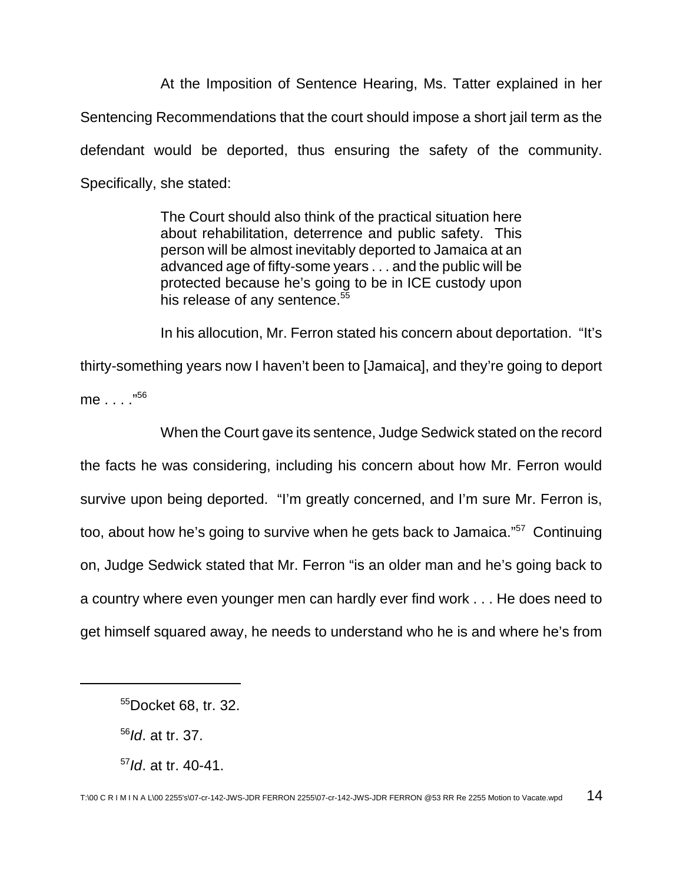At the Imposition of Sentence Hearing, Ms. Tatter explained in her Sentencing Recommendations that the court should impose a short jail term as the defendant would be deported, thus ensuring the safety of the community. Specifically, she stated:

> The Court should also think of the practical situation here about rehabilitation, deterrence and public safety. This person will be almost inevitably deported to Jamaica at an advanced age of fifty-some years . . . and the public will be protected because he's going to be in ICE custody upon his release of any sentence.<sup>55</sup>

In his allocution, Mr. Ferron stated his concern about deportation. "It's thirty-something years now I haven't been to [Jamaica], and they're going to deport me . . . ."<sup>56</sup>

When the Court gave its sentence, Judge Sedwick stated on the record the facts he was considering, including his concern about how Mr. Ferron would survive upon being deported. "I'm greatly concerned, and I'm sure Mr. Ferron is, too, about how he's going to survive when he gets back to Jamaica."<sup>57</sup> Continuing on, Judge Sedwick stated that Mr. Ferron "is an older man and he's going back to a country where even younger men can hardly ever find work . . . He does need to get himself squared away, he needs to understand who he is and where he's from

<sup>55</sup>Docket 68, tr. 32.

 $56$ *Id.* at tr. 37.

 $57$ Id. at tr. 40-41.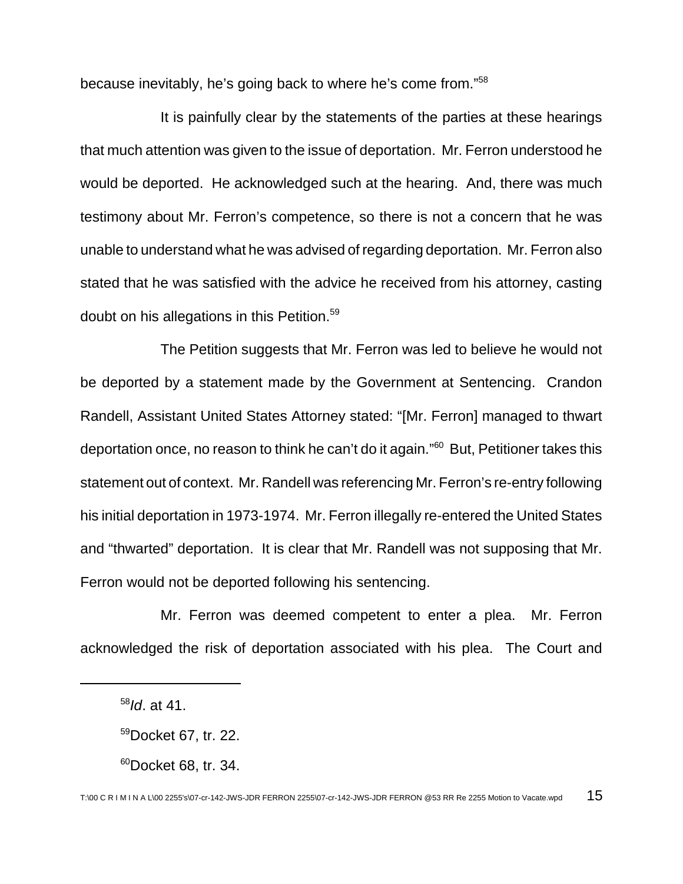because inevitably, he's going back to where he's come from."<sup>58</sup>

It is painfully clear by the statements of the parties at these hearings that much attention was given to the issue of deportation. Mr. Ferron understood he would be deported. He acknowledged such at the hearing. And, there was much testimony about Mr. Ferron's competence, so there is not a concern that he was unable to understand what he was advised of regarding deportation. Mr. Ferron also stated that he was satisfied with the advice he received from his attorney, casting doubt on his allegations in this Petition.<sup>59</sup>

The Petition suggests that Mr. Ferron was led to believe he would not be deported by a statement made by the Government at Sentencing. Crandon Randell, Assistant United States Attorney stated: "[Mr. Ferron] managed to thwart deportation once, no reason to think he can't do it again."<sup>60</sup> But, Petitioner takes this statement out of context. Mr. Randell was referencing Mr. Ferron's re-entry following his initial deportation in 1973-1974. Mr. Ferron illegally re-entered the United States and "thwarted" deportation. It is clear that Mr. Randell was not supposing that Mr. Ferron would not be deported following his sentencing.

Mr. Ferron was deemed competent to enter a plea. Mr. Ferron acknowledged the risk of deportation associated with his plea. The Court and

 $60$ Docket 68, tr. 34,

 $58$ *Id.* at 41.

<sup>59</sup>Docket 67, tr. 22.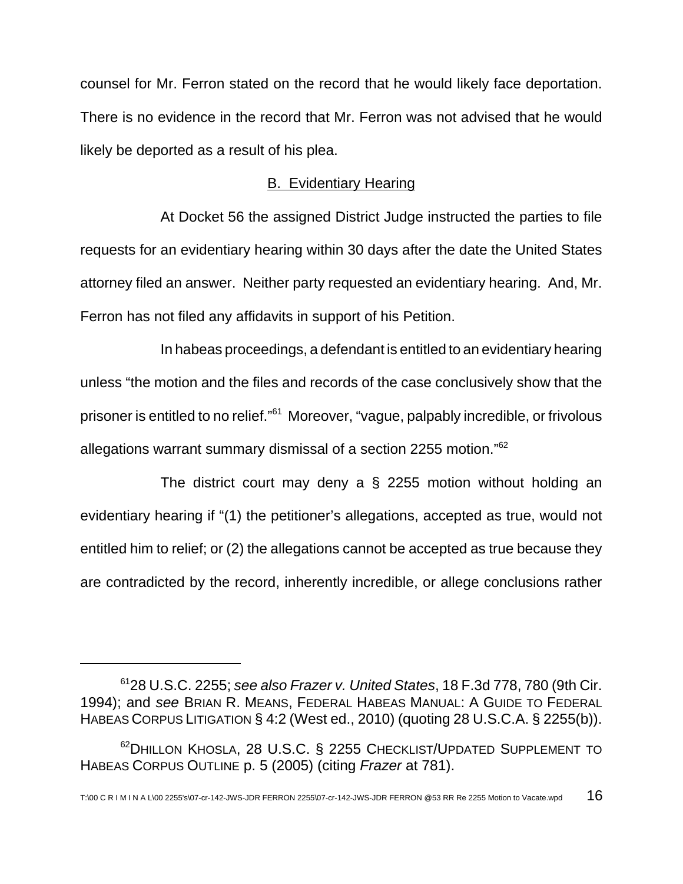counsel for Mr. Ferron stated on the record that he would likely face deportation. There is no evidence in the record that Mr. Ferron was not advised that he would likely be deported as a result of his plea.

### B. Evidentiary Hearing

At Docket 56 the assigned District Judge instructed the parties to file requests for an evidentiary hearing within 30 days after the date the United States attorney filed an answer. Neither party requested an evidentiary hearing. And, Mr. Ferron has not filed any affidavits in support of his Petition.

In habeas proceedings, a defendant is entitled to an evidentiary hearing unless "the motion and the files and records of the case conclusively show that the prisoner is entitled to no relief."<sup>61</sup> Moreover, "vague, palpably incredible, or frivolous allegations warrant summary dismissal of a section 2255 motion."<sup>62</sup>

The district court may deny a § 2255 motion without holding an evidentiary hearing if "(1) the petitioner's allegations, accepted as true, would not entitled him to relief; or (2) the allegations cannot be accepted as true because they are contradicted by the record, inherently incredible, or allege conclusions rather

 $6128$  U.S.C. 2255; see also Frazer v. United States, 18 F.3d 778, 780 (9th Cir. 1994); and see BRIAN R. MEANS, FEDERAL HABEAS MANUAL: A GUIDE TO FEDERAL HABEAS CORPUS LITIGATION § 4:2 (West ed., 2010) (quoting 28 U.S.C.A. § 2255(b)).

<sup>&</sup>lt;sup>62</sup>DHILLON KHOSLA, 28 U.S.C. § 2255 CHECKLIST/UPDATED SUPPLEMENT TO HABEAS CORPUS OUTLINE p. 5 (2005) (citing Frazer at 781).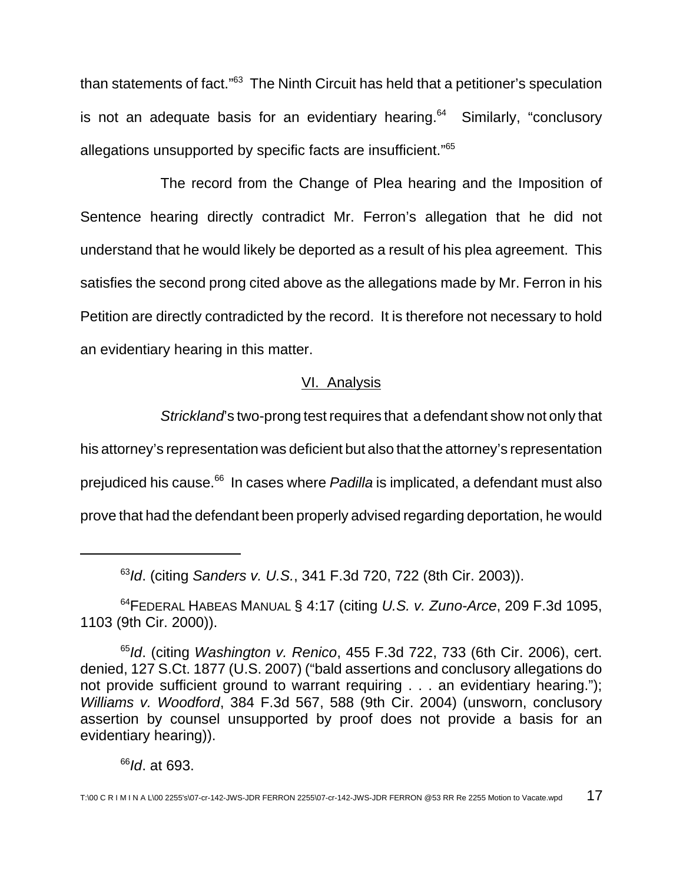than statements of fact."<sup>63</sup> The Ninth Circuit has held that a petitioner's speculation is not an adequate basis for an evidentiary hearing.<sup>64</sup> Similarly, "conclusory allegations unsupported by specific facts are insufficient."<sup>65</sup>

The record from the Change of Plea hearing and the Imposition of Sentence hearing directly contradict Mr. Ferron's allegation that he did not understand that he would likely be deported as a result of his plea agreement. This satisfies the second prong cited above as the allegations made by Mr. Ferron in his Petition are directly contradicted by the record. It is therefore not necessary to hold an evidentiary hearing in this matter.

## VI. Analysis

Strickland's two-prong test requires that a defendant show not only that

his attorney's representation was deficient but also that the attorney's representation prejudiced his cause.<sup>66</sup> In cases where *Padilla* is implicated, a defendant must also prove that had the defendant been properly advised regarding deportation, he would

63Id. (citing Sanders v. U.S., 341 F.3d 720, 722 (8th Cir. 2003)).

<sup>64</sup>FEDERAL HABEAS MANUAL § 4:17 (citing U.S. v. Zuno-Arce, 209 F.3d 1095, 1103 (9th Cir. 2000)).

 $65$ Id. (citing Washington v. Renico, 455 F.3d 722, 733 (6th Cir. 2006), cert. denied, 127 S.Ct. 1877 (U.S. 2007) ("bald assertions and conclusory allegations do not provide sufficient ground to warrant requiring . . . an evidentiary hearing."); Williams v. Woodford, 384 F.3d 567, 588 (9th Cir. 2004) (unsworn, conclusory assertion by counsel unsupported by proof does not provide a basis for an evidentiary hearing)).

 $66$ Id. at 693.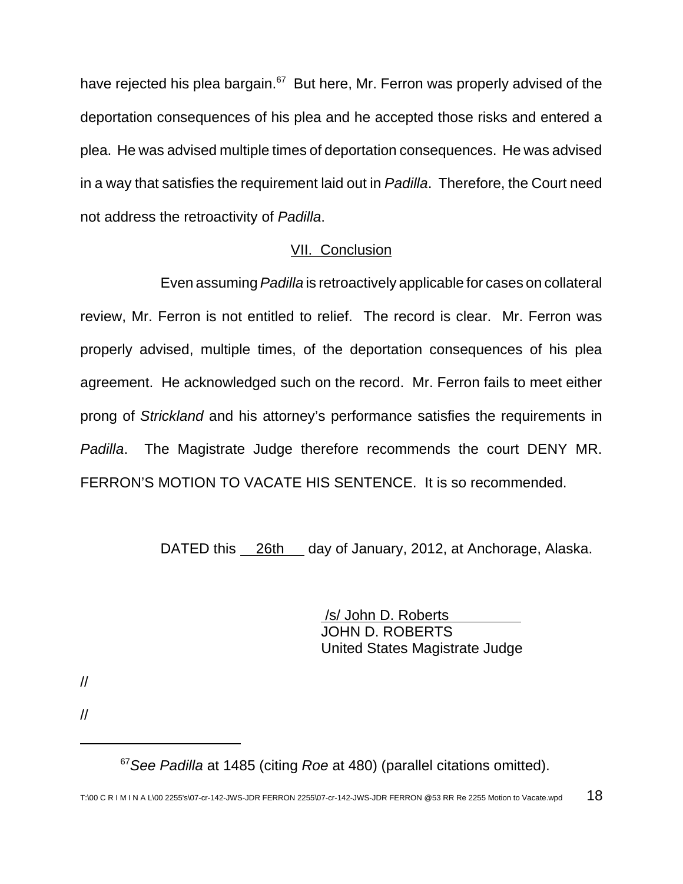have rejected his plea bargain.<sup>67</sup> But here, Mr. Ferron was properly advised of the deportation consequences of his plea and he accepted those risks and entered a plea. He was advised multiple times of deportation consequences. He was advised in a way that satisfies the requirement laid out in Padilla. Therefore, the Court need not address the retroactivity of Padilla.

## VII. Conclusion

Even assuming Padilla is retroactively applicable for cases on collateral review, Mr. Ferron is not entitled to relief. The record is clear. Mr. Ferron was properly advised, multiple times, of the deportation consequences of his plea agreement. He acknowledged such on the record. Mr. Ferron fails to meet either prong of Strickland and his attorney's performance satisfies the requirements in Padilla. The Magistrate Judge therefore recommends the court DENY MR. FERRON'S MOTION TO VACATE HIS SENTENCE. It is so recommended.

DATED this 26th day of January, 2012, at Anchorage, Alaska.

 /s/ John D. Roberts JOHN D. ROBERTS United States Magistrate Judge

//

//

 $67$  See Padilla at 1485 (citing Roe at 480) (parallel citations omitted).